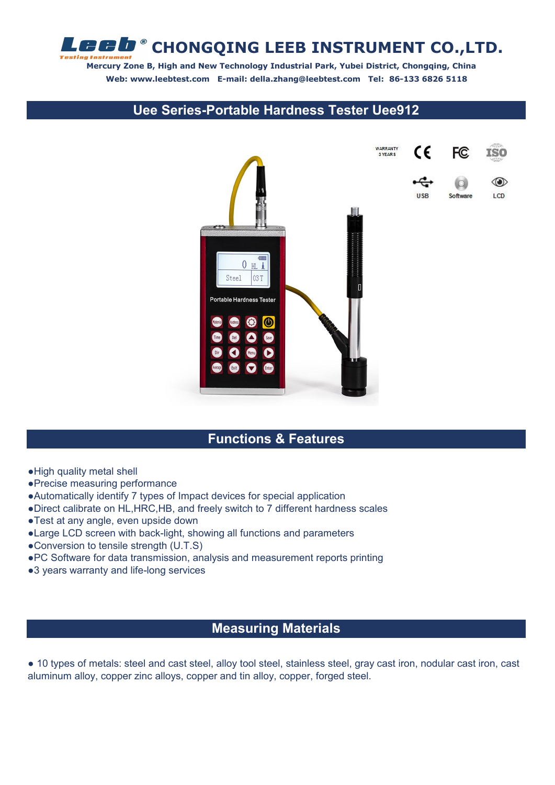**CHONGQING LEEB INSTRUMENT CO.,LTD.**  $\Gamma$ 

**Mercury Zone B, High and New Technology Industrial Park, Yubei District, Chongqing, China Web: www.leebtest.com E-mail: della.zhang@leebtest.com Tel: 86-133 6826 5118**

### **Uee Series-Portable Hardness Tester Uee912**



#### **Functions & Features**

- ●High quality metal shell
- ●Precise measuring performance

 $\ddot{r}$ 

- ●Automatically identify 7 types of Impact devices for special application
- ●Direct calibrate on HL,HRC,HB,and freely switch to 7 different hardness scales
- ●Test at any angle, even upside down
- ●Large LCD screen with back-light, showing all functions and parameters
- ●Conversion to tensile strength (U.T.S)
- ●PC Software for data transmission, analysis and measurement reports printing
- ●3 years warranty and life-long services

#### **Measuring Materials**

● 10 types of metals: steel and cast steel, alloy tool steel, stainless steel, gray cast iron, nodular cast iron, cast aluminum alloy, copper zinc alloys, copper and tin alloy, copper, forged steel.